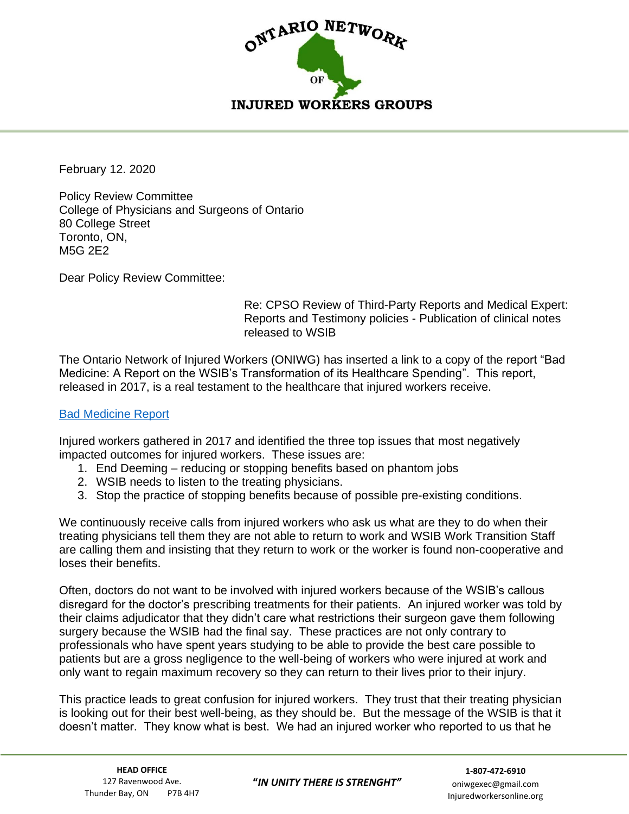

February 12. 2020

Policy Review Committee College of Physicians and Surgeons of Ontario 80 College Street Toronto, ON, M5G 2E2

Dear Policy Review Committee:

Re: CPSO Review of Third-Party Reports and Medical Expert: Reports and Testimony policies - Publication of clinical notes released to WSIB

The Ontario Network of Injured Workers (ONIWG) has inserted a link to a copy of the report "Bad Medicine: A Report on the WSIB's Transformation of its Healthcare Spending". This report, released in 2017, is a real testament to the healthcare that injured workers receive.

## [Bad Medicine Report](http://iavgo.org/wp-content/uploads/2013/11/Bad-Medicine-Report-Final.pdf)

Injured workers gathered in 2017 and identified the three top issues that most negatively impacted outcomes for injured workers. These issues are:

- 1. End Deeming reducing or stopping benefits based on phantom jobs
- 2. WSIB needs to listen to the treating physicians.
- 3. Stop the practice of stopping benefits because of possible pre-existing conditions.

We continuously receive calls from injured workers who ask us what are they to do when their treating physicians tell them they are not able to return to work and WSIB Work Transition Staff are calling them and insisting that they return to work or the worker is found non-cooperative and loses their benefits.

Often, doctors do not want to be involved with injured workers because of the WSIB's callous disregard for the doctor's prescribing treatments for their patients. An injured worker was told by their claims adjudicator that they didn't care what restrictions their surgeon gave them following surgery because the WSIB had the final say. These practices are not only contrary to professionals who have spent years studying to be able to provide the best care possible to patients but are a gross negligence to the well-being of workers who were injured at work and only want to regain maximum recovery so they can return to their lives prior to their injury.

This practice leads to great confusion for injured workers. They trust that their treating physician is looking out for their best well-being, as they should be. But the message of the WSIB is that it doesn't matter. They know what is best. We had an injured worker who reported to us that he

**"***IN UNITY THERE IS STRENGHT"*

oniwgexec@gmail.com **1-807-472-6910**